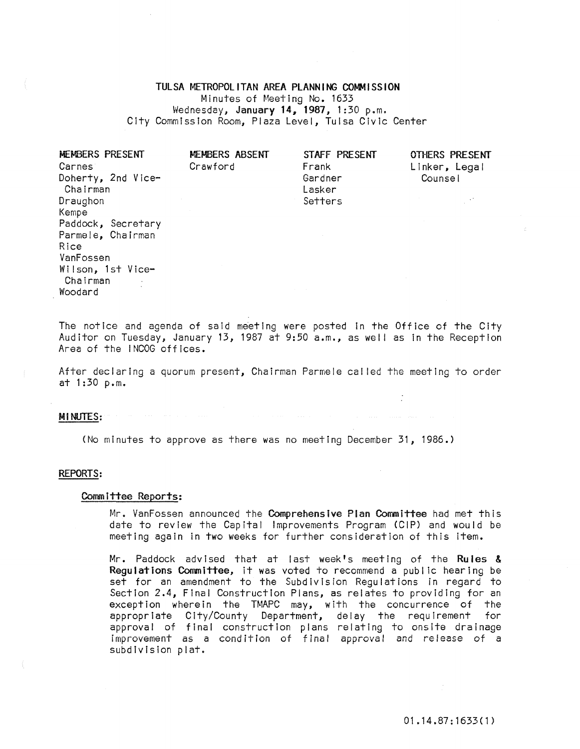# TULSA METROPOLITAN AREA PLANNING COMMISSION Minutes of Meeting No. 1633 Wednesday, January 14, 1987, 1:30 p.m. City Commission Room, Plaza Level, Tulsa Civic Center

| MEMBERS PRESENT     | MEMBERS ABSENT | STAFF PRESENT | OTHERS PRESENT |
|---------------------|----------------|---------------|----------------|
| Carnes <sup>-</sup> | Crawford       | Frank         | Linker, Legal  |
| Doherty, 2nd Vice-  |                | Gardner       | Counsel        |
| Chairman            |                | Lasker        |                |
| Draughon            |                | Setters       |                |
| Kempe               |                |               |                |
| Paddock, Secretary  |                |               |                |
| Parmele, Chairman   |                |               |                |
| Rice                |                |               |                |
| VanFossen           |                |               |                |
| Wilson, 1st Vice-   |                |               |                |
| Chairman            |                |               |                |

The notice and agenda of said meeting were posted in the Office of the City Auditor on Tuesday, January 13, 1987 at 9:50 a.m., as well as in the Reception Area of the I NCOG offices.

After declaring a quorum present, Chairman Parmele called the meeting to order at 1:30 p.m.

### MINUTES:

Woodard

(No minutes to approve as there was no meeting December 31, 1986.)

#### REPORTS:

#### Comm ittee Reports:

Mr. VanFossen announced the Comprehensive Plan Committee had met this date to review the Capital Improvements Program (CIP) and would be meeting again in two weeks for further consideration of this item.

Mr. Paddock advised that at last week's meeting of the Rules & Regulations Committee, it was voted to recommend a public hearing be set for an amendment to the Subdivision Regulations in regard to Section 2.4, Final Construction Plans, as relates to providing for an exception wherein the TMAPC may, with the concurrence of the appropriate City/County Department, delay the requirement for approval of final construction plans relating to onslte drainage improvement as a condition of final approval and release of a subdivision plat.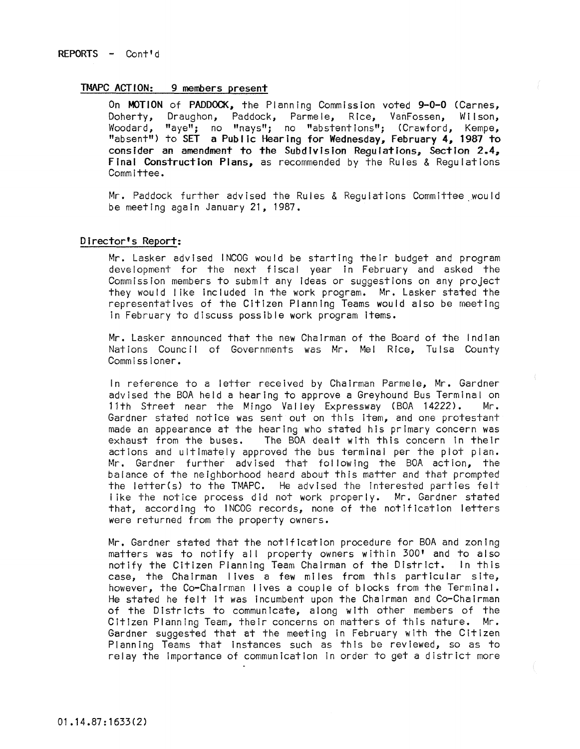## TMAPC ACTION: 9 members present

On MOTION of PADDOCK, the Planning Commission voted 9-0-0 (Carnes, Doherty, Draughon, Paddock, Parme Ie, R ice, VanFossen, Wi I son, Woodard, "aye"; no "nays" *i* no "abstent Ions"; (Crawford I Kempe, "absent") to SET a Public Hearing for Wednesday, February 4, 1987 to consider an amendment to the Subdivision Requiations, Section  $2.4$ , Final Construction Plans, as recommended by the Rules & Regulations Committee.

Mr. Paddock further advised the Rules & Regulations Committee ,would be meeting again January 21, 1987.

## Director's Report:

Mr. Lasker advised INCOG would be starting their budget and program development for the next fiscal year in February and asked the Commission members to submit any Ideas or suggestions on any project they would I Ike Included in the work program. Mr. Lasker stated the representatives of the Citizen Planning Teams would also be meeting In February to discuss possible work program Items.

Mr. Lasker announced that the new Chairman of the Board of the Indian Nations Council of Governments was Mr. Mel Rice, Tulsa County Commissioner.

In reference to a letter received by Chairman Parmele, Mr. Gardner advised the BOA held a hearing to approve a Greyhound Bus Terminal on<br>11th Street near the Mingo Valley Expressway (BOA 14222). Mr. 11th Street near the Mingo Valley Expressway (BOA 14222). Gardner stated notice was sent out on this item, and one protestant made an appearance at the hearing who stated his primary concern was<br>exhaust from the buses. The BOA dealt with this concern in their The BOA dealt with this concern in their actions and ultimately approved the bus terminal per the plot pian. Mr. Gardner further advised that fol lowing the BOA action, the balance of the neighborhood heard about this matter and that prompted the letter(s) to the TMAPC. He advised the interested parties felt like the notice process did not work properly. Mr. Gardner stated that, according to INCOG records, none of the notification letters were returned from the property owners.

Mr. Gardner stated that the notification procedure for BOA and zoning matters was to notify all property owners within 300' and to also notify the Citizen Planning Team Chairman of the District. In this case, the Chairman lives a few miles from this particular site, however, the Co-Chairman lives a couple of blocks from the Terminal. He stated he felt it was incumbent upon the Chairman and Co-Chairman of the Districts to communicate, along with other members of the Citizen Planning Team, their concerns on matters of this nature. Mr. Gardner suggested that at the meeting in February with the Citizen Planning Teams that instances such as this be reviewed, so as to relay the Importance of communication in order to get a district more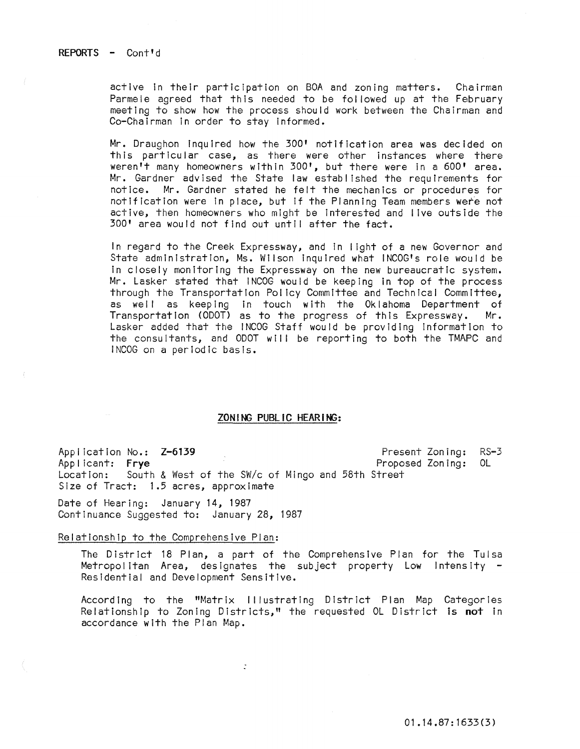active In their participation on BOA and zoning matters. Chairman Parmele agreed that this needed to be followed up at the February meeting to show how the process should work between the Chairman and Co-Chairman in order to stay informed.

Mr. Draughon Inquired how the 300' notification area was decided on this particular case, as there were other instances where there weren't many homeowners within 300', but there were in a 600' area. Mr. Gardner advised the State law established the requirements for notice. Mr. Gardner stated he felt the mechanics or procedures for notification were in place, but if the Planning Team members were not active, then homeowners who might be Interested and I ive outside the 300' area would not find out until after the fact.

In regard to the Creek Expressway, and In I ight of a new Governor and State administration, Ms. Wilson inquired what INCOG's role would be in closely monitoring the Expressway on the new bureaucratic system. Mr. Lasker stated that INCOG would be keeping In top of the process through the Transportation Pol icy Committee and Technical Committee, as well as keeping in touch with the Oklahoma Department of Transportation (ODOT) as to the progress of this  $\mathsf{Express}$ way. Mr. Lasker added that the INCOG Staff would be providing Information to the consultants, and ODOT will be reporting to both the TMAPC and INCOG on a periodic basis.

### ZONING PUBLIC HEARiNG:

Application No.: Z-6139 Present Zoning: RS-3 Applicant: Frye<br>Location: South & West of the SW/c of Mingo and 58th Street South & West of the SW/c of Mingo and 58th Street Size of Tract: 1.5 acres, approximate

Date of Hearing: January 14, 1987 Continuance Suggested to: January 28, 1987

#### Relationship to the Comprehensive Plan:

The District 18 Plan, a part of the ComprehensIve Plan for the Tulsa Metropolitan Area, designates the subject property Low Intensity -Residential and Development SensitIve.

According to the "Matrix I Ilustrating District Plan Map Categories Relationship to Zoning Districts," the requested OL District Is **not** in accordance with the Plan Map.

 $\ddot{\phantom{a}}$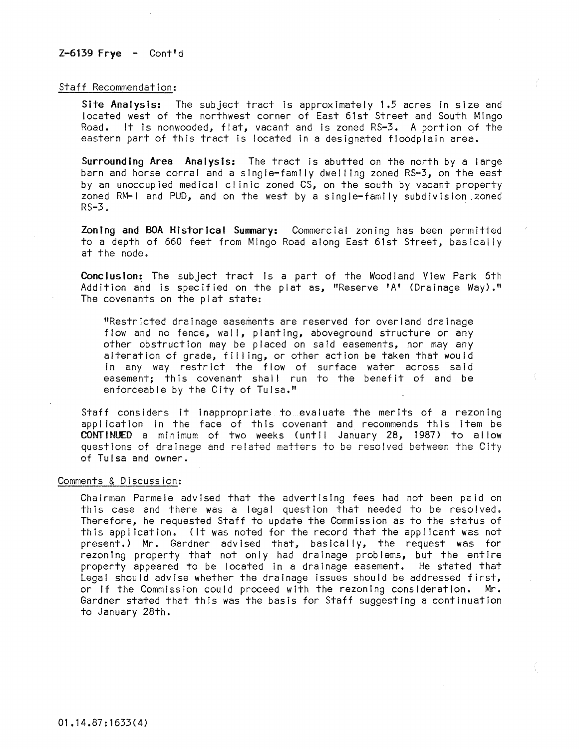## $Z-6139$  Frye  $-$  Cont<sup>t</sup>d

#### Staff Recommendation:

Site Analysis: The subject tract Is approximately 1.5 acres in size and located west of the northwest corner of East 61st Street and South Mingo Road. It is nonwooded, flat, vacant and is zoned RS-3. A portion of the eastern part of this tract is located in a designated floodplain area.

Surrounding Area Analysis: The tract is abutted on the north by a large barn and horse corral and a single-family dwelling zoned RS-3, on the east by an unoccupied medical cl inic zoned CS, on the south by vacant property zoned RM-I and PUD, and on the west by a single-family subdivision ,zoned RS-3.

Zoning and BOA Historical Summary: Commercial zoning has been permitted to a depth of 660 feet from Mingo Road along East 61st Street, basically at the node.

Conclusion: The subject tract is a part of the Woodland View Park 6th Addition and is specified on the plat as, "Reserve 'A' (Drainage Way)." The covenants on the plat state:

"Restricted drainage easements are reserved for overland drainage flow and no fence, wall, planting, aboveground structure or any other obstruction may be placed on said easements, nor may any alteration of grade, filling, or other action be taken that would in any way restrict the flow of surface water across said easement; this covenant shall run to the benefit of and be enforceable by the City of Tulsa."

Staff considers it inappropriate to evaluate the merits of a rezoning appl icatlon in the face of this covenant and recommends this item be CONTINUED a minimum of two weeks (unt!! January 28, 1987) to allow questions of drainage and related matters to be resolved between the CIty of Tulsa and owner.

### Comments & Discussion:

Chairman Parmele advised that the advertising fees had not been paid on this case and there was a legal question that needed to be resolved. Therefore, he requested Staff to update the Commission as to the status of this appl icatlon. (It was noted for the record that the appl icant was not present.) Mr. Gardner advised that, basically, the request was for rezoning property that not only had drainage problems, but the entire property appeared to be located in a drainage easement. He stated that Legal should advise whether the drainage issues should be addressed first, or if the Commission could proceed with the rezoning consideration. Mr. Gardner stated that this was the basis for Staff suggesting a continuation to January 28th.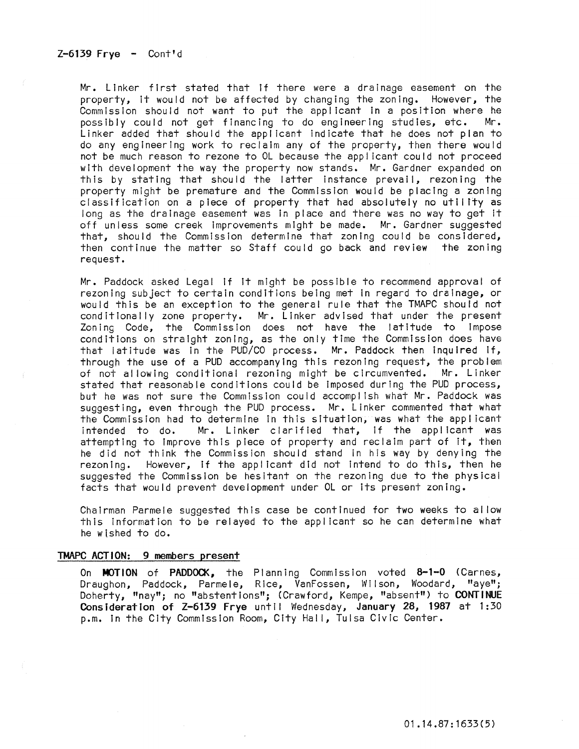Mr. Linker first stated that if there were a drainage easement on the property, It would not be affected by changing the zoning. However, the Commission should not want to put the applicant in a position where he possibly could not get financing to do engineering studies, etc. Mr. Linker added that should the appl icant indicate that he does not plan to do any engineering work to reclaim any of the property, then there would not be much reason to rezone to OL because the appi Icant could not proceed with development the way the property now stands. Mr. Gardner expanded on this by stating that should the latter instance prevail, rezoning the property might be premature and the Commission would be placing a zoning classification on a piece of property that had absolutely no utility as long as the drainage easement was in place and there was no way to get it off unless some creek improvements might be made. Mr. Gardner suggested that, should the Commission determine that zoning could be considered, then continue the matter so Staff could go back and review the zoning request.

Mr. Paddock asked Legal if It might be possible to recommend approval of rezoning subject to certain conditions being met In regard to drainage, or would this be an exception to the general rule that the TMAPC should not cond it lonally zone property. Mr. Linker advised that under the present Zoning Code, the Commission does not have the latitude to Impose conditions on straight zoning, as the only time the Commission does have that latitude was in the PUD/CO process. Mr. Paddock then inquired If, through the use of a PUD accompanying this rezoning request, the problem of not allowing conditional rezoning might be circumvented. Mr. Linker stated that reasonable conditions could be imposed during the PUD process, but he was not sure the Commission could accompl ish what Mr. Paddock was suggesting, even through the PUD process. Mr. Linker commented that what the Commission had to determine In this situation, was what the appl icant intended to do. Mr. Linker clarified that, If the appl icant was attempting to Improve this piece of property and reclaim part of it, then he did not think the Commission should stand In his way by denying the rezoning. However, if the applicant did not intend to do this, then he suggested the Commission be hesitant on the rezoning due to the physical facts that would prevent development under OL or Its present zoning.

Chairman Parmele suggested this case be continued for two weeks to al low this Information to be relayed to the applicant so he can determine what he wished to do.

#### TMAPC ACTION: 9 members present

On MOTION of PADDOCK, the Planning Commission voted 8-1-0 (Carnes, Draughon, Paddock, Parmele, Rice, VanFossen, Wilson, Woodard, "aye"; Doherty, "nay"; no "abstentions"; (Crawford, Kempe, "absent") to CONTINUE Consideration of Z-6139 Frye until Wednesday, January 28, 1987 at 1:30 p.m. in the City Commission Room, City Hall, Tulsa Civic Center.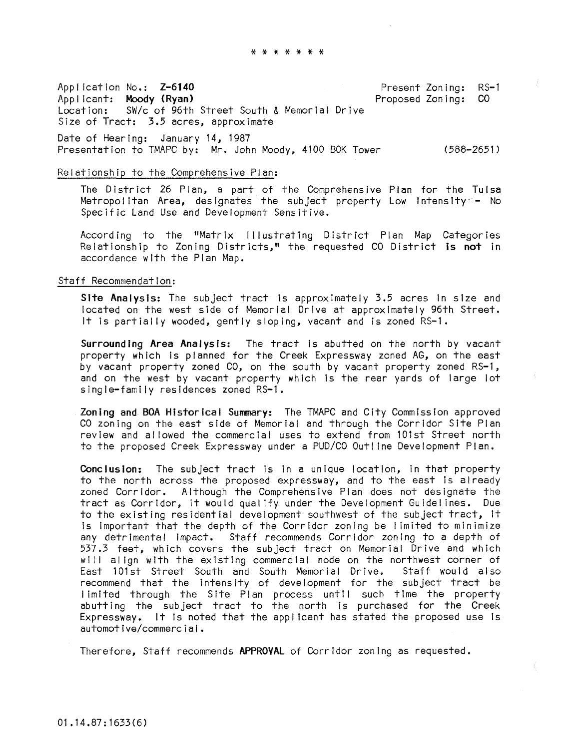\* \* \* \* \* \* \*

Appl ication No.: Z-6140 Applicant: Moody (Ryan)<br>Location: SW/c of 96th SW/c of 96th Street South & Memorial Drive Size of Tract: 3.5 acres, approximate Date of Hearing: January 14, 1987 Present Zoning: Proposed Zoning:  $RS-1$ CO

Presentation to TMAPC by: Mr. John Moody, 4100 SDK Tower (588-2651)

### Relationship to the Comprehensive Plan:

The District 26 Plan, a part of the Comprehensive Plan for the Tulsa Metropol itan Area, designates' the subject property Low IntensIty'- No Specific Land Use and Development Sensitive.

According to the "Matrix Illustrating District Plan Map Categories Relationship to Zoning Districts," the requested CO District Is **not** in accordance with the Plan Map.

### Staff Recommendation:

Site Analysis: The subject tract is approximately 3.5 acres in size and located on the west side of Memorial Drive at approximately 96th Street. It Is partially wooded, gently sloping, vacant and is zoned RS-l.

Surrounding Area Analysis: The tract is abutted on the north by vacant property which is planned for the Creek Expressway zoned AG, on the east by vacant property zoned CO, on the south by vacant property zoned RS-l, and on the west by vacant property which is the rear yards of large lot single-family residences zoned RS-1.

Zoning and BOA Historical Summary: The TMAPC and City Commission approved CO zoning on the east side of Memorial and through the Corridor Site Plan review and al lowed the commercial uses to extend from 101st Street north to the proposed Creek Expressway under a PUD/CO Outline Development Plan.

Conclusion: The subject tract is in a unique location, in that property to the north across the proposed expressway, and to the east Is already zoned Corridor. Although the Comprehensive Plan does not designate the tract as Corridor, it would qualify under the Development Guidel ines. Due to the existing residential development southwest of the subject tract, it Is Important that the depth of the Corridor zoning be I imited to mInimize any detrimental impact. Staff recommends Corridor zoning to a depth of 537.3 feet, which covers the subject tract on Memorial Drive and which will align with the existing commercial node on the northwest corner of<br>East 101st Street South and South Memorial Drive. Staff would also East 101st Street South and South Memorial Drive. recommend that the intensity of development for the subject tract be limited through the Site Plan process until such time the property abutting the subject tract to the north Is purchased for the Creek Expressway. It Is noted that the appl icant has stated the proposed use is automotive/commercial.

Therefore, Staff recommends APPROVAL of Corridor zoning as requested.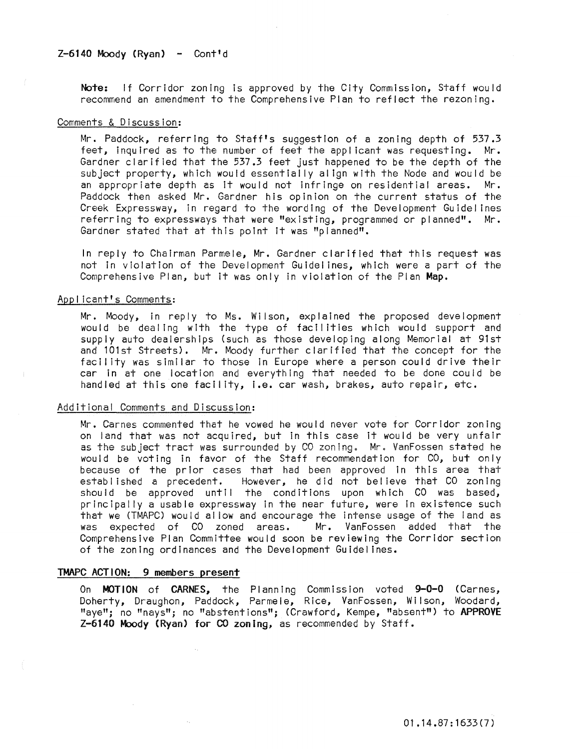## $Z-6140$  Moody (Ryan) - Cont'd

Note: If Corridor zoning is approved by the City Commission, Staff would recommend an amendment to the Comprehensive Plan to reflect the rezoning.

### Comments & Discussion:

Mr. Paddock, referring to Staff's suggestion of a zoning depth of 537.3 feet, inquired as to the number of feet the applicant was requesting. Mr. Gardner clarified that the 537.3 feet just happened to be the depth of the subject property, which would essentially align with the Node and would be an appropriate depth as It would not infringe on residential areas. Mr. Paddock then asked Mr. Gardner his opinion on the current status of the Creek Expressway, in regard to the wording of the Development Guidelines referring to expressways that were "existing, programmed or planned". Mr. Gardner stated that at this point it was "planned".

In reply to Chairman Parmele, Mr. Gardner clarified that this request was not in violation of the Development Guidel ines, which were a part of the Comprehensive Plan, but it was only in violation of the Plan Map.

### Appl icant's Comments:

Mr. Moody, in reply to Ms. Wilson, explained the proposed development would be dealing with the type of facilities which would support and supply auto dealerships (such as those developing along Memorial at 91st and 101st Streets). Mr. Moody further clarified that the concept for the facll ity was similar to those In Europe where a person could drive their car in at one location and everything that needed to be done could be handled at this one facll ity, i.e. car wash, brakes, auto repair, etc.

#### Additional Comments and Discussion:

Mr. Carnes commented that he vowed he would never vote for Corridor zoning on land that was not acquired, but in this case it would be very unfair as the subject tract was surrounded by CO zoning. Mr. VanFossen stated he would be voting in favor of the Staff recommendation for CO, but only because of the prior cases that had been approved in this area that established a precedent. However, he did not believe that CO zoning should be approved until the conditions upon which CO was based, principally a usable expressway in the near future, were In existence such that we (TMAPC) would al low and encourage the intense usage of the land as was expected of CO zoned areas. Mr. VanFossen added that the Comprehensive Plan Committee would soon be reviewing the Corridor section of the zoning ordinances and the Development Guidel ines.

#### TMAPC ACTION: 9 members present

On MOTION of CARNES, the Planning Commission voted 9-0-0 (Carnes, Doherty, Draughon, Paddock, Parmele, Rice, VanFossen, Wilson, Woodard, "aye"; no "nays"; no "abstentions"; (Crawford, Kempe, "absent") to APPROVE Z-6140 Moody (Ryan) for CO zoning, as recommended by Staff.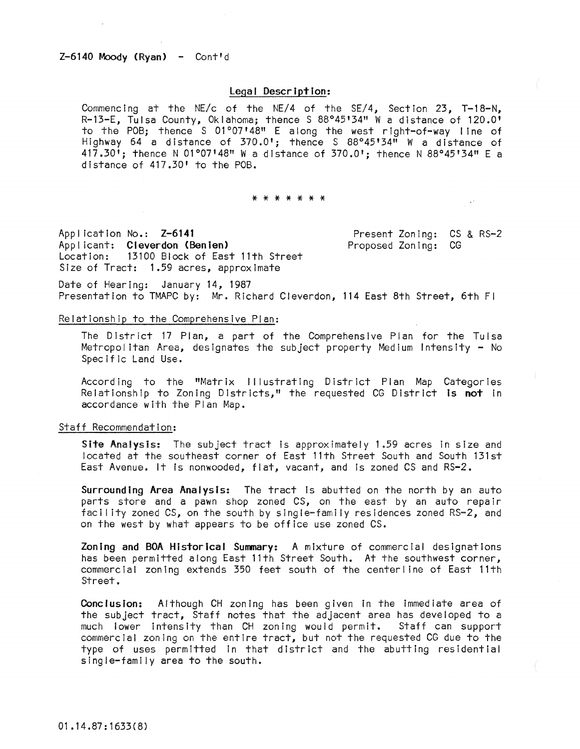### $Z-6140$  Moody (Ryan) - Cont'd

## Legal Description:

Commencing at the NE/c of the NE/4 of the SE/4, Section 23, T-18-N, R-13-E, Tulsa County, Oklahoma; thence S 88°45'34" W a distance of 120.0' to the POB; thence S 01°07'48" E along the west right-of-way line of Highway 64 a distance of 370.0'; thence S 88°45'34" W a distance of 417.30'; thence N 01°07'48" W a distance of 370.0'; thence N 88°45'34" E a distance of 417.30' to the POB.

#### \* \* \* \* \* \* \*

Appl icatlon No.: Z-6141 Appl icant: Cleverdon (Benten) Location: 13100 Block of East 11th Street Size of Tract: 1.59 acres, approximate

Present Zoning: CS & RS-2 Proposed Zoning: CG

Date of Hearing: January 14, 1987 Presentation to TMAPC by: Mr. Richard Cleverdon, 114 East 8th Street, 6th Fl

### Relationship to the Comprehensive Plan:

The District 17 Plan, a part of the Comprehensive Plan for the Tulsa Metropolitan Area, designates the subject property Medium Intensity - No Specific Land Use.

According to the "Matrix Illustrating District Plan Map Categories Relationship to Zoning Districts," the requested CG District Is not In accordance with the Plan Map.

#### Staff Recommendation:

Site Analysis: The subject tract is approximately 1.59 acres In size and located at the southeast corner of East 11th Street South and South 131st East Avenue. It is nonwooded, flat, vacant, and is zoned CS and RS-2.

Surrounding Area Analysis: The tract is abutted on the north by an auto parts store and a pawn shop zoned CS, on the east by an auto repair facility zoned CS, on the south by single-family residences zoned RS-2, and on the west by what appears to be office use zoned CS.

Zoning and BOA Historical Summary: A mixture of commercial designations has been permitted along East 11th Street South. At the southwest corner, commercial zoning extends 350 feet south of the centerline of East 11th Street.

Conclusion: Although CH zoning has been given in the immediate area of the subject tract, Staff notes that the adjacent area has developed to a much lower Intensity than CH zoning would permit. Staff can support commercial zoning on the entire tract, but not the requested CG due to the type of uses permitted In that dIstrict and the abutting residential single-famIly area to the south.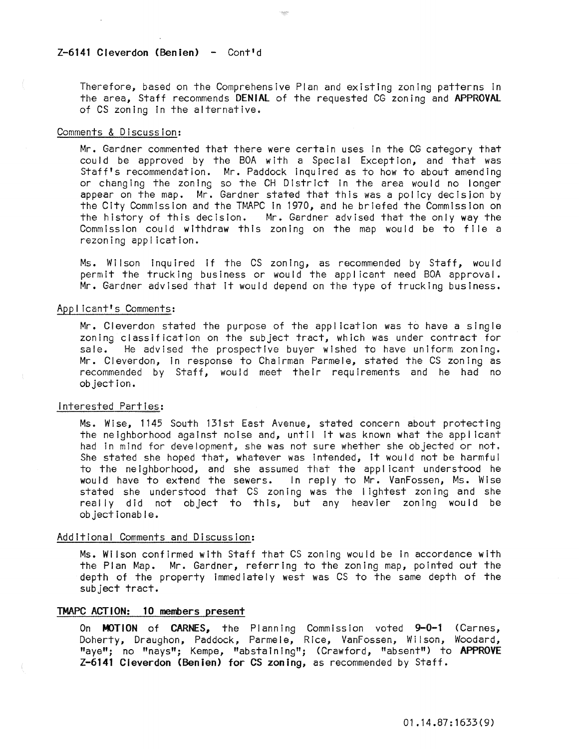## $Z-6141$  Cleverdon (Benien) - Cont'd

Therefore, based on the Comprehensive Plan and existing zoning patterns in the area, Staff recommends DENIAL of the requested CG zoning and APPROVAL of CS zoning In the alternative.

### Comments & Discussion:

Mr. Gardner commented that there were certain uses in the CG category that could be approved by the BOA with a Special Exception, and that was Staff's recommendation. Mr. Paddock Inquired as to how to about amending or changing the zoning so the CH District in the area would no longer appear on the map. Mr. Gardner stated that this was a policy decision by the City Commission and the TMAPC in 1970, and he briefed the Commission on the history of this decision. Mr. Gardner advised that the only way the Commission could withdraw this zoning on the map would be to file a rezoning application.

Ms. Wilson inquired if the CS zoning, as recommended by Staff, would permit the trucking business or would the applicant need BOA approval. Mr. Gardner advised that it would depend on the type of trucking business.

# Applicant's Comments:

Mr. Cleverdon stated the purpose of the appl ication was to have a single zoning classification on the subject tract, which was under contract for sale. He advised the prospective buyer wished to have uniform zoning. Mr. Cleverdon, in response to Chairman Parmele, stated the CS zoning as recommended by Staff, would meet their requirements and he had no objection.

# Interested Parties:

Ms. Wise, 1145 South 131st East Avenue, stated concern about protecting the neighborhood against noise and, until it was known what the applicant had In mind for development, she was not sure whether she objected or not. She stated she hoped that, whatever was intended, it would not be harmful to the neighborhood, and she assumed that the applicant understood he would have to extend the sewers. In reply to Mr. VanFossen, Ms. Wise stated she understood that CS zoning was the lightest zoning and she really did not object to this, but any heavier zoning would be objectionable.

### Additional Comments and Discussion:

Ms. Wilson confirmed with Staff that CS zoning would be in accordance with the Plan Map. Mr. Gardner, referring to the zoning map, pointed out the depth of the property immediately west was CS to the same depth of the subject tract.

## TMAPC ACTION: 10 members present

On MOTION of CARNES, the Planning Commission voted 9-0-1 (Carnes, Doherty, Draughon, Paddock, Parmele, Rice, VanFossen, Wilson, Woodard, "aye"; no "nays"; Kempe, "abstaining"; (Crawford, "absent") to APPROVE Z-6141 Cleverdon (Benien) for CS zoning, as recommended by Staff.